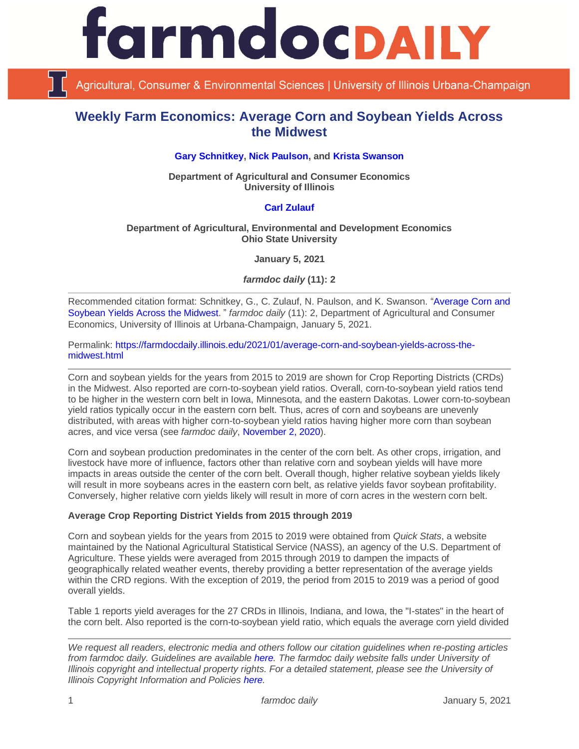

Agricultural, Consumer & Environmental Sciences | University of Illinois Urbana-Champaign

# **Weekly Farm Economics: Average Corn and Soybean Yields Across the Midwest**

#### **[Gary Schnitkey,](https://ace.illinois.edu/directory/schnitke) [Nick Paulson,](https://ace.illinois.edu/directory/npaulson) and [Krista Swanson](https://ace.illinois.edu/directory/krista)**

**Department of Agricultural and Consumer Economics University of Illinois**

#### **[Carl Zulauf](http://aede.osu.edu/our-people/carl-zulauf)**

#### **Department of Agricultural, Environmental and Development Economics Ohio State University**

**January 5, 2021**

*farmdoc daily* **(11): 2**

Recommended citation format: Schnitkey, G., C. Zulauf, N. Paulson, and K. Swanson. ["Average Corn and](https://farmdocdaily.illinois.edu/2021/01/average-corn-and-soybean-yields-across-the-midwest.html)  [Soybean Yields Across the Midwest](https://farmdocdaily.illinois.edu/2021/01/average-corn-and-soybean-yields-across-the-midwest.html)." *farmdoc daily* (11): 2, Department of Agricultural and Consumer Economics, University of Illinois at Urbana-Champaign, January 5, 2021.

Permalink: [https://farmdocdaily.illinois.edu/2021/01/average-corn-and-soybean-yields-across-the](https://farmdocdaily.illinois.edu/2021/01/average-corn-and-soybean-yields-across-the-midwest.html)[midwest.html](https://farmdocdaily.illinois.edu/2021/01/average-corn-and-soybean-yields-across-the-midwest.html)

Corn and soybean yields for the years from 2015 to 2019 are shown for Crop Reporting Districts (CRDs) in the Midwest. Also reported are corn-to-soybean yield ratios. Overall, corn-to-soybean yield ratios tend to be higher in the western corn belt in Iowa, Minnesota, and the eastern Dakotas. Lower corn-to-soybean yield ratios typically occur in the eastern corn belt. Thus, acres of corn and soybeans are unevenly distributed, with areas with higher corn-to-soybean yield ratios having higher more corn than soybean acres, and vice versa (see *farmdoc daily*, [November 2, 2020\)](https://farmdocdaily.illinois.edu/2020/11/prevalence-of-corn-and-soybeans-across-the-midwest.html).

Corn and soybean production predominates in the center of the corn belt. As other crops, irrigation, and livestock have more of influence, factors other than relative corn and soybean yields will have more impacts in areas outside the center of the corn belt. Overall though, higher relative soybean yields likely will result in more soybeans acres in the eastern corn belt, as relative yields favor soybean profitability. Conversely, higher relative corn yields likely will result in more of corn acres in the western corn belt.

#### **Average Crop Reporting District Yields from 2015 through 2019**

Corn and soybean yields for the years from 2015 to 2019 were obtained from *Quick Stats*, a website maintained by the National Agricultural Statistical Service (NASS), an agency of the U.S. Department of Agriculture. These yields were averaged from 2015 through 2019 to dampen the impacts of geographically related weather events, thereby providing a better representation of the average yields within the CRD regions. With the exception of 2019, the period from 2015 to 2019 was a period of good overall yields.

Table 1 reports yield averages for the 27 CRDs in Illinois, Indiana, and Iowa, the "I-states" in the heart of the corn belt. Also reported is the corn-to-soybean yield ratio, which equals the average corn yield divided

*We request all readers, electronic media and others follow our citation guidelines when re-posting articles from farmdoc daily. Guidelines are available [here.](http://farmdocdaily.illinois.edu/citationguide.html) The farmdoc daily website falls under University of Illinois copyright and intellectual property rights. For a detailed statement, please see the University of Illinois Copyright Information and Policies [here.](http://www.cio.illinois.edu/policies/copyright/)*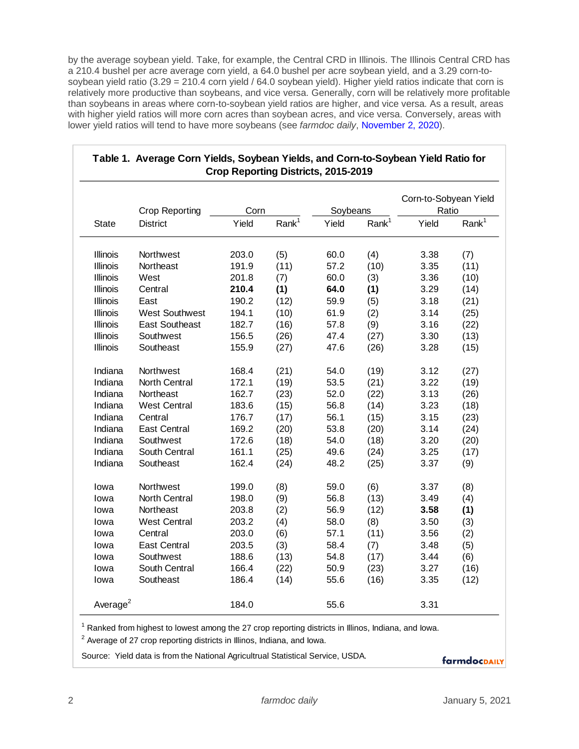by the average soybean yield. Take, for example, the Central CRD in Illinois. The Illinois Central CRD has a 210.4 bushel per acre average corn yield, a 64.0 bushel per acre soybean yield, and a 3.29 corn-tosoybean yield ratio (3.29 = 210.4 corn yield / 64.0 soybean yield). Higher yield ratios indicate that corn is relatively more productive than soybeans, and vice versa. Generally, corn will be relatively more profitable than soybeans in areas where corn-to-soybean yield ratios are higher, and vice versa. As a result, areas with higher yield ratios will more corn acres than soybean acres, and vice versa. Conversely, areas with lower yield ratios will tend to have more soybeans (see *farmdoc daily*, [November 2, 2020\)](https://farmdocdaily.illinois.edu/2020/11/prevalence-of-corn-and-soybeans-across-the-midwest.html).

| <b>State</b>         | <b>Crop Reporting</b><br><b>District</b> | Corn  |                   | Soybeans |                   | Corn-to-Sobyean Yield<br>Ratio |                   |
|----------------------|------------------------------------------|-------|-------------------|----------|-------------------|--------------------------------|-------------------|
|                      |                                          | Yield | Rank <sup>1</sup> | Yield    | Rank <sup>1</sup> | Yield                          | Rank <sup>1</sup> |
| <b>Illinois</b>      | Northwest                                | 203.0 | (5)               | 60.0     | (4)               | 3.38                           | (7)               |
| <b>Illinois</b>      | Northeast                                | 191.9 | (11)              | 57.2     | (10)              | 3.35                           | (11)              |
| <b>Illinois</b>      | West                                     | 201.8 | (7)               | 60.0     | (3)               | 3.36                           | (10)              |
| <b>Illinois</b>      | Central                                  | 210.4 | (1)               | 64.0     | (1)               | 3.29                           | (14)              |
| <b>Illinois</b>      | East                                     | 190.2 | (12)              | 59.9     | (5)               | 3.18                           | (21)              |
| <b>Illinois</b>      | <b>West Southwest</b>                    | 194.1 | (10)              | 61.9     | (2)               | 3.14                           | (25)              |
| <b>Illinois</b>      | <b>East Southeast</b>                    | 182.7 | (16)              | 57.8     | (9)               | 3.16                           | (22)              |
| <b>Illinois</b>      | Southwest                                | 156.5 | (26)              | 47.4     | (27)              | 3.30                           | (13)              |
| <b>Illinois</b>      | Southeast                                | 155.9 | (27)              | 47.6     | (26)              | 3.28                           | (15)              |
| Indiana              | Northwest                                | 168.4 | (21)              | 54.0     | (19)              | 3.12                           | (27)              |
| Indiana              | North Central                            | 172.1 | (19)              | 53.5     | (21)              | 3.22                           | (19)              |
| Indiana              | Northeast                                | 162.7 | (23)              | 52.0     | (22)              | 3.13                           | (26)              |
| Indiana              | <b>West Central</b>                      | 183.6 | (15)              | 56.8     | (14)              | 3.23                           | (18)              |
| Indiana              | Central                                  | 176.7 | (17)              | 56.1     | (15)              | 3.15                           | (23)              |
| Indiana              | <b>East Central</b>                      | 169.2 | (20)              | 53.8     | (20)              | 3.14                           | (24)              |
| Indiana              | Southwest                                | 172.6 | (18)              | 54.0     | (18)              | 3.20                           | (20)              |
| Indiana              | South Central                            | 161.1 | (25)              | 49.6     | (24)              | 3.25                           | (17)              |
| Indiana              | Southeast                                | 162.4 | (24)              | 48.2     | (25)              | 3.37                           | (9)               |
| lowa                 | Northwest                                | 199.0 | (8)               | 59.0     | (6)               | 3.37                           | (8)               |
| lowa                 | North Central                            | 198.0 | (9)               | 56.8     | (13)              | 3.49                           | (4)               |
| lowa                 | Northeast                                | 203.8 | (2)               | 56.9     | (12)              | 3.58                           | (1)               |
| lowa                 | <b>West Central</b>                      | 203.2 | (4)               | 58.0     | (8)               | 3.50                           | (3)               |
| lowa                 | Central                                  | 203.0 | (6)               | 57.1     | (11)              | 3.56                           | (2)               |
| lowa                 | <b>East Central</b>                      | 203.5 | (3)               | 58.4     | (7)               | 3.48                           | (5)               |
| lowa                 | Southwest                                | 188.6 | (13)              | 54.8     | (17)              | 3.44                           | (6)               |
| lowa                 | South Central                            | 166.4 | (22)              | 50.9     | (23)              | 3.27                           | (16)              |
| lowa                 | Southeast                                | 186.4 | (14)              | 55.6     | (16)              | 3.35                           | (12)              |
| Average <sup>2</sup> |                                          | 184.0 |                   | 55.6     |                   | 3.31                           |                   |

# **Table 1. Average Corn Yields, Soybean Yields, and Corn-to-Soybean Yield Ratio for**

 $^1$  Ranked from highest to lowest among the 27 crop reporting districts in Illinos, Indiana, and Iowa.

 $2$  Average of 27 crop reporting districts in Illinos, Indiana, and Iowa.

Source: Yield data is from the National Agricultrual Statistical Service, USDA.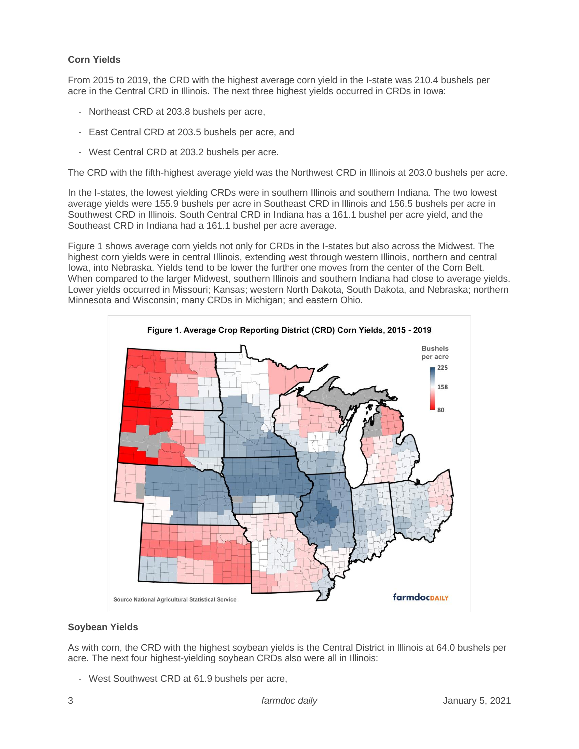# **Corn Yields**

From 2015 to 2019, the CRD with the highest average corn yield in the I-state was 210.4 bushels per acre in the Central CRD in Illinois. The next three highest yields occurred in CRDs in Iowa:

- Northeast CRD at 203.8 bushels per acre,
- East Central CRD at 203.5 bushels per acre, and
- West Central CRD at 203.2 bushels per acre.

The CRD with the fifth-highest average yield was the Northwest CRD in Illinois at 203.0 bushels per acre.

In the I-states, the lowest yielding CRDs were in southern Illinois and southern Indiana. The two lowest average yields were 155.9 bushels per acre in Southeast CRD in Illinois and 156.5 bushels per acre in Southwest CRD in Illinois. South Central CRD in Indiana has a 161.1 bushel per acre yield, and the Southeast CRD in Indiana had a 161.1 bushel per acre average.

Figure 1 shows average corn yields not only for CRDs in the I-states but also across the Midwest. The highest corn yields were in central Illinois, extending west through western Illinois, northern and central Iowa, into Nebraska. Yields tend to be lower the further one moves from the center of the Corn Belt. When compared to the larger Midwest, southern Illinois and southern Indiana had close to average yields. Lower yields occurred in Missouri; Kansas; western North Dakota, South Dakota, and Nebraska; northern Minnesota and Wisconsin; many CRDs in Michigan; and eastern Ohio.



#### **Soybean Yields**

As with corn, the CRD with the highest soybean yields is the Central District in Illinois at 64.0 bushels per acre. The next four highest-yielding soybean CRDs also were all in Illinois:

- West Southwest CRD at 61.9 bushels per acre,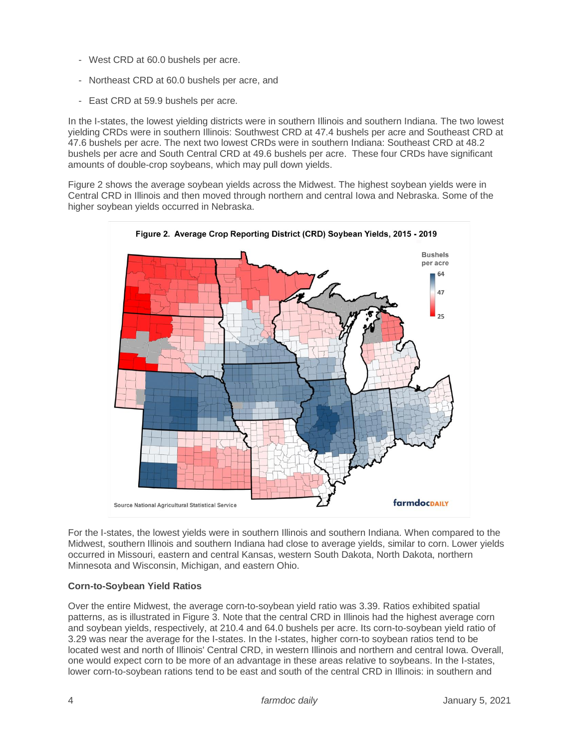- West CRD at 60.0 bushels per acre.
- Northeast CRD at 60.0 bushels per acre, and
- East CRD at 59.9 bushels per acre.

In the I-states, the lowest yielding districts were in southern Illinois and southern Indiana. The two lowest yielding CRDs were in southern Illinois: Southwest CRD at 47.4 bushels per acre and Southeast CRD at 47.6 bushels per acre. The next two lowest CRDs were in southern Indiana: Southeast CRD at 48.2 bushels per acre and South Central CRD at 49.6 bushels per acre. These four CRDs have significant amounts of double-crop soybeans, which may pull down yields.

Figure 2 shows the average soybean yields across the Midwest. The highest soybean yields were in Central CRD in Illinois and then moved through northern and central Iowa and Nebraska. Some of the higher soybean yields occurred in Nebraska.



For the I-states, the lowest yields were in southern Illinois and southern Indiana. When compared to the Midwest, southern Illinois and southern Indiana had close to average yields, similar to corn. Lower yields occurred in Missouri, eastern and central Kansas, western South Dakota, North Dakota, northern Minnesota and Wisconsin, Michigan, and eastern Ohio.

# **Corn-to-Soybean Yield Ratios**

Over the entire Midwest, the average corn-to-soybean yield ratio was 3.39. Ratios exhibited spatial patterns, as is illustrated in Figure 3. Note that the central CRD in Illinois had the highest average corn and soybean yields, respectively, at 210.4 and 64.0 bushels per acre. Its corn-to-soybean yield ratio of 3.29 was near the average for the I-states. In the I-states, higher corn-to soybean ratios tend to be located west and north of Illinois' Central CRD, in western Illinois and northern and central Iowa. Overall, one would expect corn to be more of an advantage in these areas relative to soybeans. In the I-states, lower corn-to-soybean rations tend to be east and south of the central CRD in Illinois: in southern and